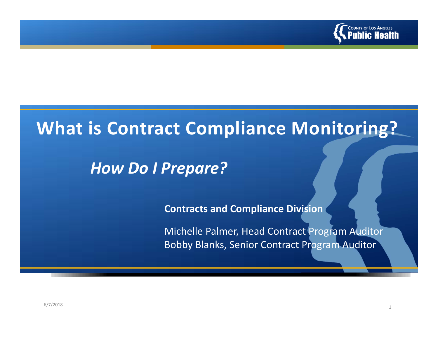

# **What is Contract Compliance Monitoring?**

# *How Do I Prepare?*

**Contracts and Compliance Division**

Michelle Palmer, Head Contract Program Auditor Bobby Blanks, Senior Contract Program Auditor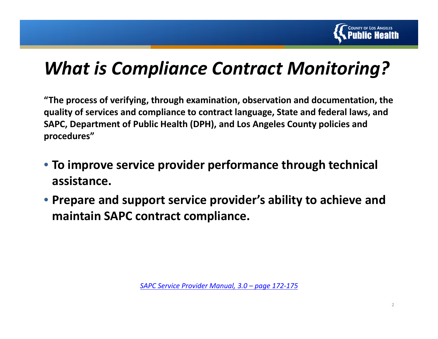

# *What is Compliance Contract Monitoring?*

**"The process of verifying, through examination, observation and documentation, the quality of services and compliance to contract language, State and federal laws, and SAPC, Department of Public Health (DPH), and Los Angeles County policies and procedures"**

- **To improve service provider performance through technical assistance.**
- **Prepare and support service provider's ability to achieve and maintain SAPC contract compliance.**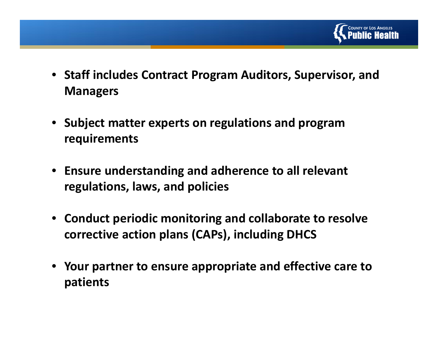

- **Staff includes Contract Program Auditors, Supervisor, and Managers**
- **Subject matter experts on regulations and program requirements**
- **Ensure understanding and adherence to all relevant regulations, laws, and policies**
- **Conduct periodic monitoring and collaborate to resolve corrective action plans (CAPs), including DHCS**
- **Your partner to ensure appropriate and effective care to patients**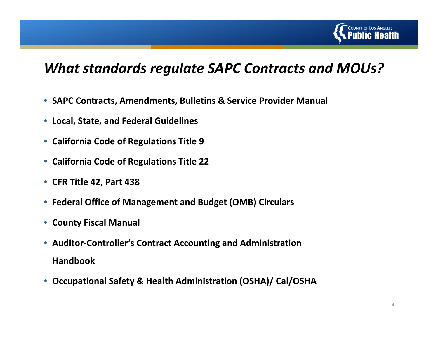

### *What standards regulate SAPC Contracts and MOUs?*

- **SAPC Contracts, Amendments, Bulletins & Service Provider Manual**
- **Local, State, and Federal Guidelines**
- **California Code of Regulations Title 9**
- **California Code of Regulations Title 22**
- **CFR Title 42, Part 438**
- **Federal Office of Management and Budget (OMB) Circulars**
- **County Fiscal Manual**
- **Auditor‐Controller's Contract Accounting and Administration Handbook**
- $\bullet$ **Occupational Safety & Health Administration (OSHA)/ Cal/OSHA**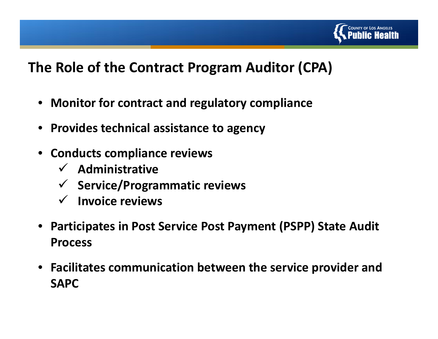

## **The Role of the Contract Program Auditor (CPA)**

- **Monitor for contract and regulatory compliance**
- **Provides technical assistance to agency**
- **Conducts compliance reviews**
	- **Administrative**
	- **Service/Programmatic reviews**
	- **Invoice reviews**
- • **Participates in Post Service Post Payment (PSPP) State Audit Process**
- **Facilitates communication between the service provider and SAPC**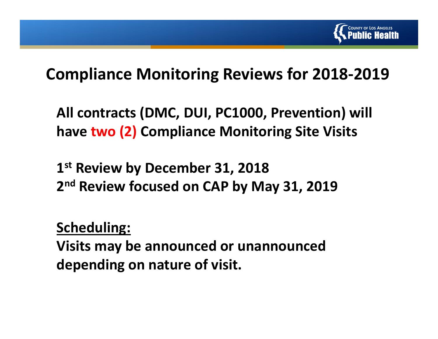

# **Compliance Monitoring Reviews for 2018‐2019**

**All contracts (DMC, DUI, PC1000, Prevention) will have two (2) Compliance Monitoring Site Visits**

**1st Review by December 31, 2018 2n<sup>d</sup> Review focused on CAP by May 31, 2019**

**Scheduling:**

**Visits may be announced or unannounced depending on nature of visit.**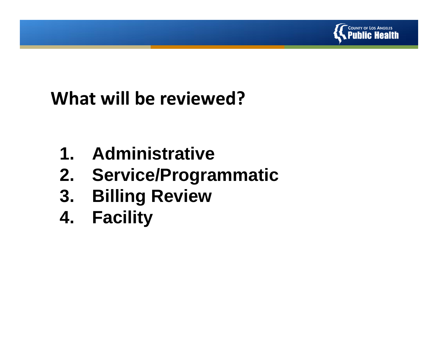

# **What will be reviewed?**

- **1. Administrative**
- **2. Service/Programmatic**
- **3. Billing Review**
- **4. Facility**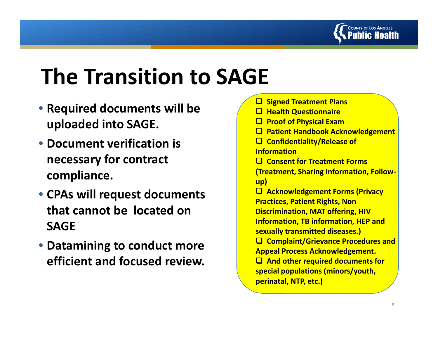

# **The Transition to SAGE**

- **Required documents will be uploaded into SAGE.**
- **Document verification is necessary for contract compliance.**
- **CPAs will request documents that cannot be located on SAGE**
- **Datamining to conduct more efficient and focused review.**

| <b>□ Signed Treatment Plans</b>                   |
|---------------------------------------------------|
| <b>Health Questionnaire</b>                       |
| <b>Proof of Physical Exam</b>                     |
| $\Box$<br><b>Patient Handbook Acknowledgement</b> |
| $\Box$ Confidentiality/Release of                 |
| <b>Information</b>                                |
| <b>Q</b> Consent for Treatment Forms              |
| <b>(Treatment, Sharing Information, Follow-</b>   |
| up)                                               |
| □ Acknowledgement Forms (Privacy                  |
| <b>Practices, Patient Rights, Non</b>             |
| <b>Discrimination, MAT offering, HIV</b>          |
| <b>Information, TB information, HEP and</b>       |
| sexually transmitted diseases.)                   |
| □ Complaint/Grievance Procedures and              |
| <b>Appeal Process Acknowledgement.</b>            |
| $\Box$ And other required documents for           |
| special populations (minors/youth,                |
| perinatal, NTP, etc.)                             |
|                                                   |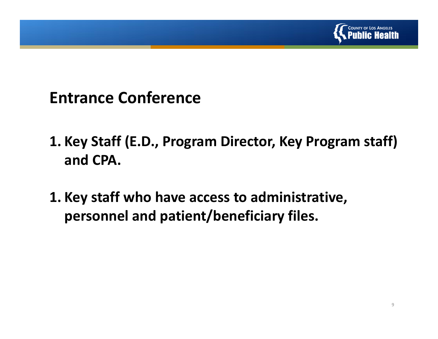

# **Entrance Conference**

- **1. Key Staff (E.D., Program Director, Key Program staff) and CPA.**
- **1. Key staff who have access to administrative, personnel and patient/beneficiary files.**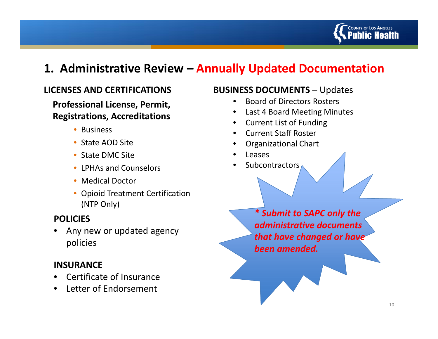

#### **1. Administrative Review – Annually Updated Documentation**

#### **LICENSES AND CERTIFICATIONS**

**Professional License, Permit, Registrations, Accreditations**

- Business
- State AOD Site
- State DMC Site
- LPHAs and Counselors
- Medical Doctor
- Opioid Treatment Certification (NTP Only)

#### **POLICIES**

• Any new or updated agency policies

#### **INSURANCE**

- •**•** Certificate of Insurance
- Letter of Endorsement

#### **BUSINESS DOCUMENTS** – Updates

- •**•** Board of Directors Rosters
- •Last 4 Board Meeting Minutes
- •Current List of Funding
- •Current Staff Roster
- •Organizational Chart
- •Leases
- •Subcontractors

*\* Submit to SAPC only the administrative documents that have changed or have been amended.*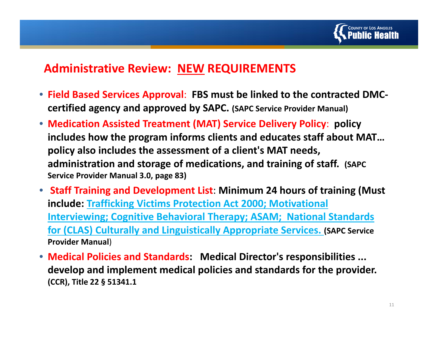

#### **Administrative Review: NEW REQUIREMENTS**

- **Field Based Services Approval**: **FBS must be linked to the contracted DMC‐ certified agency and approved by SAPC. (SAPC Service Provider Manual)**
- **Medication Assisted Treatment (MAT) Service Delivery Policy**: **policy includes how the program informs clients and educates staff about MAT… policy also includes the assessment of <sup>a</sup> client's MAT needs, administration and storage of medications, and training of staff. (SAPC Service Provider Manual 3.0, page 83)**
- **Staff Training and Development List**: **Minimum 24 hours of training (Must include: Trafficking Victims Protection Act 2000; Motivational Interviewing; Cognitive Behavioral Therapy; ASAM; National Standards for (CLAS) Culturally and Linguistically Appropriate Services. (SAPC Service Provider Manual**)
- **Medical Policies and Standards: Medical Director's responsibilities ... develop and implement medical policies and standards for the provider. (CCR), Title 22 § 51341.1**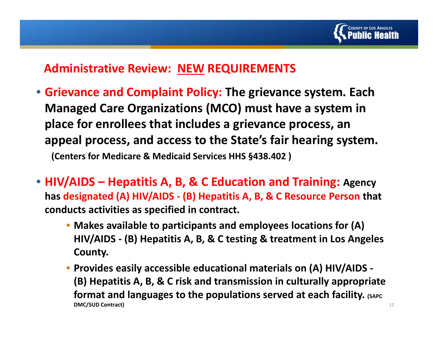

#### **Administrative Review: NEW REQUIREMENTS**

- **Grievance and Complaint Policy: The grievance system. Each Managed Care Organizations (MCO) must have <sup>a</sup> system in place for enrollees that includes <sup>a</sup> grievance process, an appeal process, and access to the State's fair hearing system. (Centers for Medicare & Medicaid Services HHS §438.402 )**
- **HIV/AIDS – Hepatitis A, B, & C Education and Training: Agency has designated (A) HIV/AIDS ‐ (B) Hepatitis A, B, & C Resource Person that conducts activities as specified in contract.**
	- **Makes available to participants and employees locations for (A) HIV/AIDS ‐ (B) Hepatitis A, B, & C testing & treatment in Los Angeles County.**
	- **Provides easily accessible educational materials on (A) HIV/AIDS ‐ (B) Hepatitis A, B, & C risk and transmission in culturally appropriate format and languages to the populations served at each facility. (SAPC DMC/SUD Contract)** <sup>12</sup>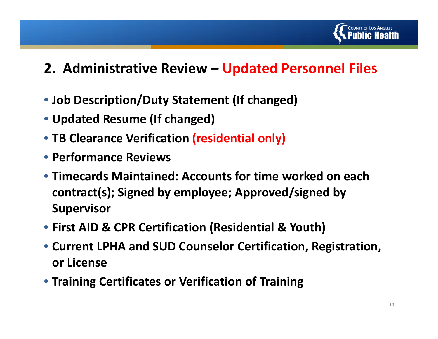

# **2. Administrative Review – Updated Personnel Files**

- **Job Description/Duty Statement (If changed)**
- **Updated Resume (If changed)**
- **TB Clearance Verification (residential only)**
- **Performance Reviews**
- **Timecards Maintained: Accounts for time worked on each contract(s); Signed by employee; Approved/signed by Supervisor**
- **First AID & CPR Certification (Residential & Youth)**
- **Current LPHA and SUD Counselor Certification, Registration, or License**
- **Training Certificates or Verification of Training**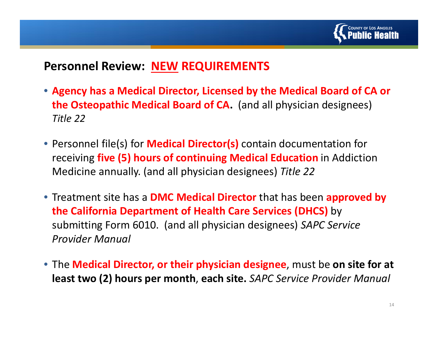

#### **Personnel Review: NEW REQUIREMENTS**

- **Agency has <sup>a</sup> Medical Director, Licensed by the Medical Board of CA or the Osteopathic Medical Board of CA.** (and all physician designees) *Title 22*
- Personnel file(s) for **Medical Director(s)** contain documentation for receiving **five (5) hours of continuing Medical Education** in Addiction Medicine annually. (and all physician designees) *Title 22*
- Treatment site has <sup>a</sup> **DMC Medical Director** that has been **approved by the California Department of Health Care Services (DHCS)** by submitting Form 6010. (and all physician designees) *SAPC Service Provider Manual*
- The **Medical Director, or their physician designee**, must be **on site for at least two (2) hours per month**, **each site.** *SAPC Service Provider Manual*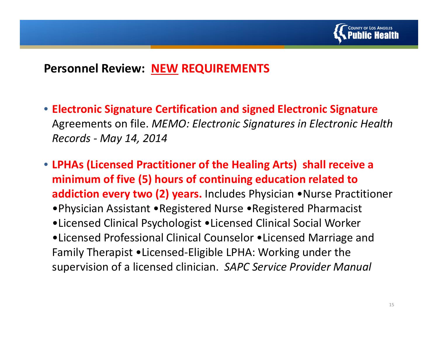

#### **Personnel Review: NEW REQUIREMENTS**

- **Electronic Signature Certification and signed Electronic Signature** Agreements on file. *MEMO: Electronic Signatures in Electronic Health Records ‐ May 14, 2014*
- **LPHAs (Licensed Practitioner of the Healing Arts) shall receive <sup>a</sup> minimum of five (5) hours of continuing education related to addiction every two (2) years.** Includes Physician •Nurse Practitioner
	- •Physician Assistant •Registered Nurse •Registered Pharmacist
	- •Licensed Clinical Psychologist •Licensed Clinical Social Worker
	- •Licensed Professional Clinical Counselor •Licensed Marriage and Family Therapist •Licensed‐Eligible LPHA: Working under the supervision of <sup>a</sup> licensed clinician. *SAPC Service Provider Manual*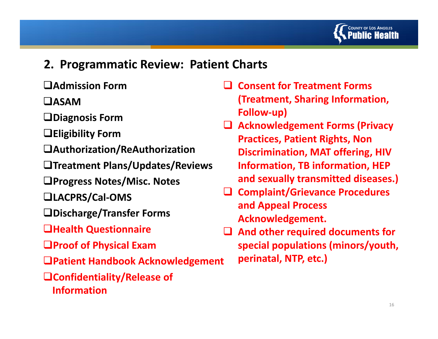

#### **2. Programmatic Review: Patient Charts**

- **Admission Form**
- **ASAM**
- **Diagnosis Form**
- **Eligibility Form**
- **Authorization/ReAuthorization**
- **Treatment Plans/Updates/Reviews**
- **Progress Notes/Misc. Notes**
- **LACPRS/Cal ‐OMS**
- **Discharge/Transfer Forms**
- **Health Questionnaire**
- **Proof of Physical Exam**
- **Patient Handbook Acknowledgement**
- **Confidentiality/Release of Information**
- $\Box$  **Consent for Treatment Forms (Treatment, Sharing Information, Follow‐up)**
- **Acknowledgement Forms (Privacy Practices, Patient Rights, Non Discrimination, MAT offering, HIV Information, TB information, HEP and sexually transmitted diseases.)**
- **Complaint/Grievance Procedures and Appeal Process Acknowledgement.**
- $\Box$  **And other required documents for special populations (minors/youth, perinatal, NTP, etc.)**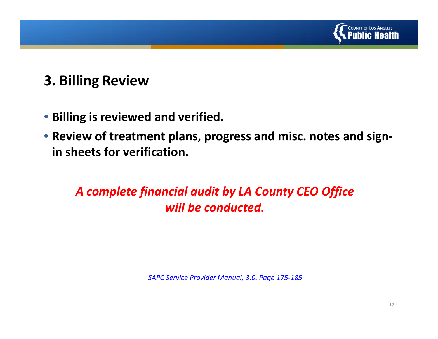

# **3. Billing Review**

- **Billing is reviewed and verified.**
- **Review of treatment plans, progress and misc. notes and sign‐ in sheets for verification.**

### *A complete financial audit by LA County CEO Office will be conducted.*

*SAPC Service Provider Manual, 3.0. Page 175‐185*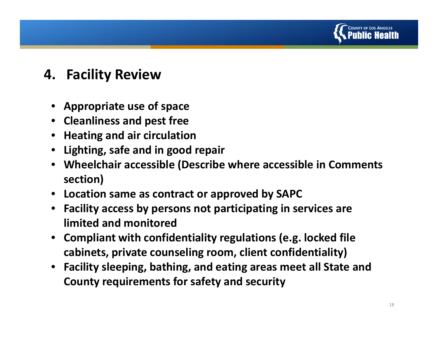

## **4. Facility Review**

- **Appropriate use of space**
- **Cleanliness and pest free**
- **Heating and air circulation**
- **Lighting, safe and in good repair**
- **Wheelchair accessible (Describe where accessible in Comments section)**
- **Location same as contract or approved by SAPC**
- **Facility access by persons not participating in services are limited and monitored**
- • **Compliant with confidentiality regulations (e.g. locked file cabinets, private counseling room, client confidentiality)**
- **Facility sleeping, bathing, and eating areas meet all State and County requirements for safety and security**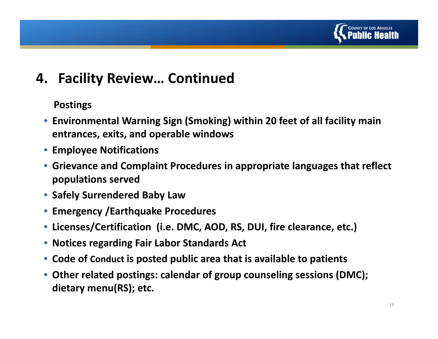

# **4. Facility Review… Continued**

#### **Postings**

- **Environmental Warning Sign (Smoking) within 20 feet of all facility main entrances, exits, and operable windows**
- **Employee Notifications**
- **Grievance and Complaint Procedures in appropriate languages that reflect populations served**
- **Safely Surrendered Baby Law**
- **Emergency /Earthquake Procedures**
- **Licenses/Certification (i.e. DMC, AOD, RS, DUI, fire clearance, etc.)**
- **Notices regarding Fair Labor Standards Act**
- **Code of Conduct is posted public area that is available to patients**
- **Other related postings: calendar of group counseling sessions (DMC); dietary menu(RS); etc.**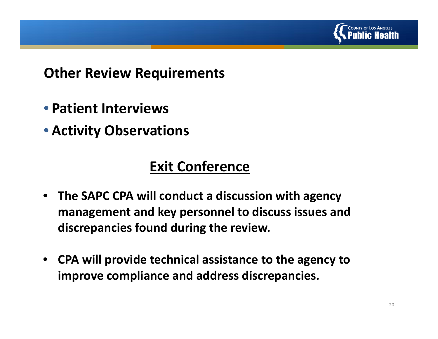

### **Other Review Requirements**

- **Patient Interviews**
- **Activity Observations**

# **Exit Conference**

- **The SAPC CPA will conduct <sup>a</sup> discussion with agency management and key personnel to discuss issues and discrepancies found during the review.**
- $\bullet$  **CPA will provide technical assistance to the agency to improve compliance and address discrepancies.**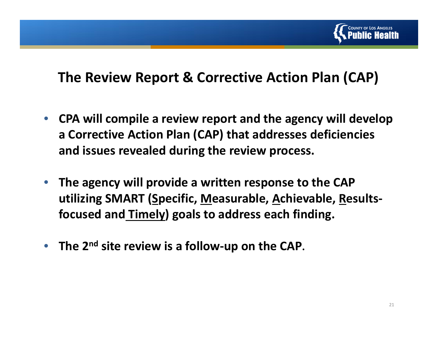

## **The Review Report & Corrective Action Plan (CAP)**

- $\bullet$  **CPA will compile <sup>a</sup> review report and the agency will develop a Corrective Action Plan (CAP) that addresses deficiencies and issues revealed during the review process.**
- • **The agency will provide <sup>a</sup> written response to the CAP utilizing SMART (Specific, Measurable, Achievable, Results‐ focused and Timely) goals to address each finding.**
- **The 2n<sup>d</sup> site review is <sup>a</sup> follow‐up on the CAP.**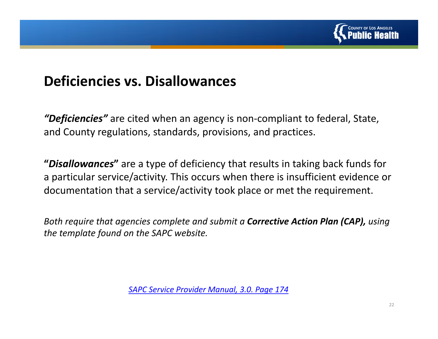

## **Deficiencies vs. Disallowances**

*"Deficiencies"* are cited when an agency is non‐compliant to federal, State, and County regulations, standards, provisions, and practices.

**"***Disallowances***"** are <sup>a</sup> type of deficiency that results in taking back funds for a particular service/activity. This occurs when there is insufficient evidence or documentation that <sup>a</sup> service/activity took place or met the requirement.

*Both require that agencies complete and submit <sup>a</sup> Corrective Action Plan (CAP), using the template found on the SAPC website.*

*SAPC Service Provider Manual, 3.0. Page 174*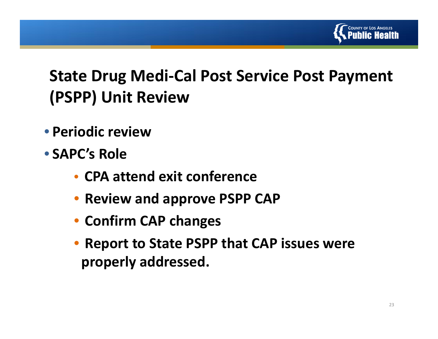

# **State Drug Medi‐Cal Post Service Post Payment (PSPP) Unit Review**

- **Periodic review**
- **SAPC's Role**
	- **CPA attend exit conference**
	- $\bullet$ **Review and approve PSPP CAP**
	- **Confirm CAP changes**
	- $\bullet$  **Report to State PSPP that CAP issues were properly addressed.**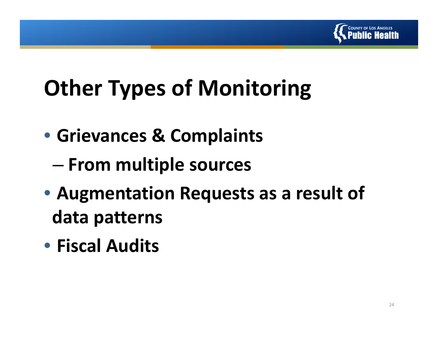

# **Other Types of Monitoring**

- **Grievances & Complaints**
	- –**From multiple sources**
- **Augmentation Requests as <sup>a</sup> result of data patterns**
- **Fiscal Audits**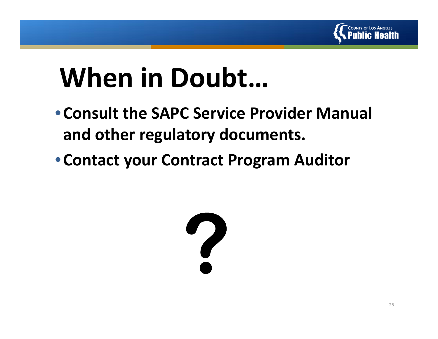

# **When in Doubt…**

- •**Consult the SAPC Service Provider Manual and other regulatory documents.**
- •**Contact your Contract Program Auditor**